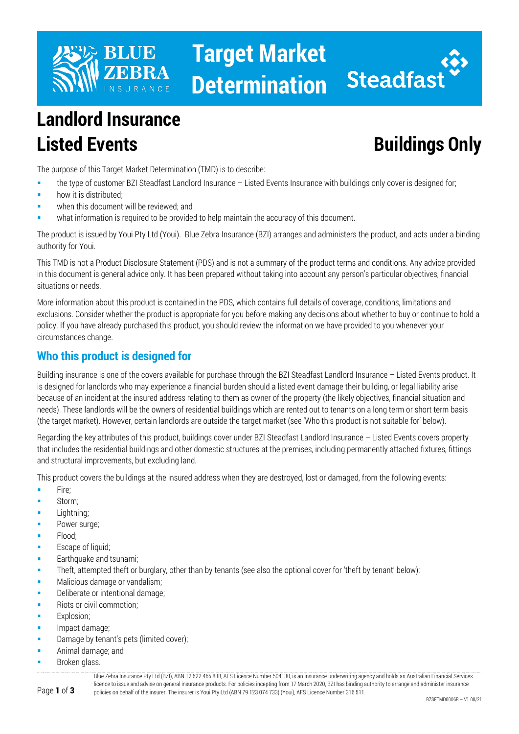

# **Target Market Determination**



## **Landlord Insurance Listed Events Buildings Only**

The purpose of this Target Market Determination (TMD) is to describe:

- the type of customer BZI Steadfast Landlord Insurance Listed Events Insurance with buildings only cover is designed for;
- how it is distributed;
- when this document will be reviewed; and
- what information is required to be provided to help maintain the accuracy of this document.

The product is issued by Youi Pty Ltd (Youi). Blue Zebra Insurance (BZI) arranges and administers the product, and acts under a binding authority for Youi.

This TMD is not a Product Disclosure Statement (PDS) and is not a summary of the product terms and conditions. Any advice provided in this document is general advice only. It has been prepared without taking into account any person's particular objectives, financial situations or needs.

More information about this product is contained in the PDS, which contains full details of coverage, conditions, limitations and exclusions. Consider whether the product is appropriate for you before making any decisions about whether to buy or continue to hold a policy. If you have already purchased this product, you should review the information we have provided to you whenever your circumstances change.

### **Who this product is designed for**

Building insurance is one of the covers available for purchase through the BZI Steadfast Landlord Insurance – Listed Events product. It is designed for landlords who may experience a financial burden should a listed event damage their building, or legal liability arise because of an incident at the insured address relating to them as owner of the property (the likely objectives, financial situation and needs). These landlords will be the owners of residential buildings which are rented out to tenants on a long term or short term basis (the target market). However, certain landlords are outside the target market (see 'Who this product is not suitable for' below).

Regarding the key attributes of this product, buildings cover under BZI Steadfast Landlord Insurance – Listed Events covers property that includes the residential buildings and other domestic structures at the premises, including permanently attached fixtures, fittings and structural improvements, but excluding land.

This product covers the buildings at the insured address when they are destroyed, lost or damaged, from the following events:

- Fire;
- Storm;
- Lightning;
- Power surge;
- Flood;
- Escape of liquid;
- Earthquake and tsunami;
- Theft, attempted theft or burglary, other than by tenants (see also the optional cover for 'theft by tenant' below);
- **Malicious damage or vandalism;**
- Deliberate or intentional damage;
- Riots or civil commotion;
- Explosion;
- Impact damage;
- Damage by tenant's pets (limited cover);
- Animal damage; and
- Broken glass.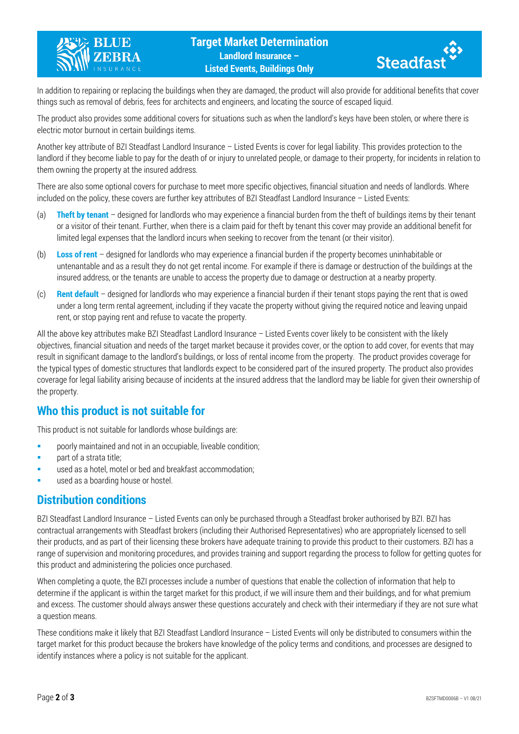



In addition to repairing or replacing the buildings when they are damaged, the product will also provide for additional benefits that cover things such as removal of debris, fees for architects and engineers, and locating the source of escaped liquid.

The product also provides some additional covers for situations such as when the landlord's keys have been stolen, or where there is electric motor burnout in certain buildings items.

Another key attribute of BZI Steadfast Landlord Insurance – Listed Events is cover for legal liability. This provides protection to the landlord if they become liable to pay for the death of or injury to unrelated people, or damage to their property, for incidents in relation to them owning the property at the insured address.

There are also some optional covers for purchase to meet more specific objectives, financial situation and needs of landlords. Where included on the policy, these covers are further key attributes of BZI Steadfast Landlord Insurance – Listed Events:

- (a) **Theft by tenant** designed for landlords who may experience a financial burden from the theft of buildings items by their tenant or a visitor of their tenant. Further, when there is a claim paid for theft by tenant this cover may provide an additional benefit for limited legal expenses that the landlord incurs when seeking to recover from the tenant (or their visitor).
- (b) **Loss of rent** designed for landlords who may experience a financial burden if the property becomes uninhabitable or untenantable and as a result they do not get rental income. For example if there is damage or destruction of the buildings at the insured address, or the tenants are unable to access the property due to damage or destruction at a nearby property.
- (c) **Rent default** designed for landlords who may experience a financial burden if their tenant stops paying the rent that is owed under a long term rental agreement, including if they vacate the property without giving the required notice and leaving unpaid rent, or stop paying rent and refuse to vacate the property.

All the above key attributes make BZI Steadfast Landlord Insurance – Listed Events cover likely to be consistent with the likely objectives, financial situation and needs of the target market because it provides cover, or the option to add cover, for events that may result in significant damage to the landlord's buildings, or loss of rental income from the property. The product provides coverage for the typical types of domestic structures that landlords expect to be considered part of the insured property. The product also provides coverage for legal liability arising because of incidents at the insured address that the landlord may be liable for given their ownership of the property.

#### **Who this product is not suitable for**

This product is not suitable for landlords whose buildings are:

- **Phonorly maintained and not in an occupiable, liveable condition;**
- part of a strata title;
- used as a hotel, motel or bed and breakfast accommodation;
- used as a boarding house or hostel.

#### **Distribution conditions**

BZI Steadfast Landlord Insurance – Listed Events can only be purchased through a Steadfast broker authorised by BZI. BZI has contractual arrangements with Steadfast brokers (including their Authorised Representatives) who are appropriately licensed to sell their products, and as part of their licensing these brokers have adequate training to provide this product to their customers. BZI has a range of supervision and monitoring procedures, and provides training and support regarding the process to follow for getting quotes for this product and administering the policies once purchased.

When completing a quote, the BZI processes include a number of questions that enable the collection of information that help to determine if the applicant is within the target market for this product, if we will insure them and their buildings, and for what premium and excess. The customer should always answer these questions accurately and check with their intermediary if they are not sure what a question means.

These conditions make it likely that BZI Steadfast Landlord Insurance – Listed Events will only be distributed to consumers within the target market for this product because the brokers have knowledge of the policy terms and conditions, and processes are designed to identify instances where a policy is not suitable for the applicant.